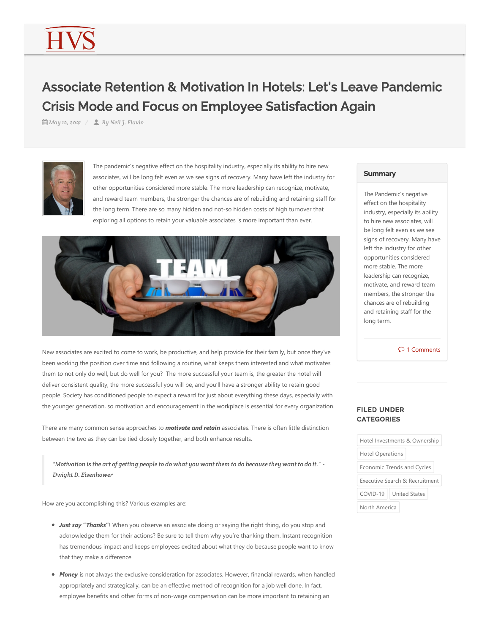## Associate Retention & Motivation In Hotels: Let's Leave Pandemic Crisis Mode and Focus on Employee Satisfaction Again

*May 12, 2021 By Neil J. Flavin*



The pandemic's negative effect on the hospitality industry, especially its ability to hire new associates, will be long felt even as we see signs of recovery. Many have left the industry for other opportunities considered more stable. The more leadership can recognize, motivate, and reward team members, the stronger the chances are of rebuilding and retaining staff for the long term. There are so many hidden and not‐so hidden costs of high turnover that exploring all options to retain your valuable associates is more important than ever.



New associates are excited to come to work, be productive, and help provide for their family, but once they've been working the position over time and following a routine, what keeps them interested and what motivates them to not only do well, but do well for you? The more successful your team is, the greater the hotel will deliver consistent quality, the more successful you will be, and you'll have a stronger ability to retain good people. Society has conditioned people to expect a reward for just about everything these days, especially with the younger generation, so motivation and encouragement in the workplace is essential for every organization.

There are many common sense approaches to *motivate and retain* associates. There is often little distinction between the two as they can be tied closely together, and both enhance results.

*"Motivation is the art of getting people to do what you want them to do because they want to do it." - Dwight D. Eisenhower*

How are you accomplishing this? Various examples are:

- *Just say* **"***Thanks***"**! When you observe an associate doing or saying the right thing, do you stop and acknowledge them for their actions? Be sure to tell them why you're thanking them. Instant recognition has tremendous impact and keeps employees excited about what they do because people want to know that they make a difference.
- *Money* is not always the exclusive consideration for associates. However, financial rewards, when handled appropriately and strategically, can be an effective method of recognition for a job well done. In fact, employee benefits and other forms of non-wage compensation can be more important to retaining an

## **Summary**

The Pandemic's negative effect on the hospitality industry, especially its ability to hire new associates, will be long felt even as we see signs of recovery. Many have left the industry for other opportunities considered more stable. The more leadership can recognize, motivate, and reward team members, the stronger the chances are of rebuilding and retaining staff for the long term.

 $\circ$  1 Comments

## FILED UNDER **CATEGORIES**

| Hotel Investments & Ownership      |
|------------------------------------|
| <b>Hotel Operations</b>            |
| Economic Trends and Cycles         |
| Executive Search & Recruitment     |
| $COVID-19$<br><b>United States</b> |
| North America                      |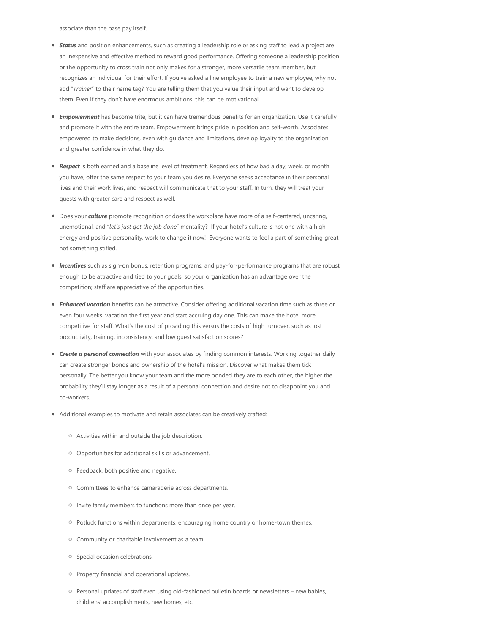associate than the base pay itself.

- *Status* and position enhancements, such as creating a leadership role or asking staff to lead a project are an inexpensive and effective method to reward good performance. Offering someone a leadership position or the opportunity to cross train not only makes for a stronger, more versatile team member, but recognizes an individual for their effort. If you've asked a line employee to train a new employee, why not add "*Trainer*" to their name tag? You are telling them that you value their input and want to develop them. Even if they don't have enormous ambitions, this can be motivational.
- *Empowerment* has become trite, but it can have tremendous benefits for an organization. Use it carefully and promote it with the entire team. Empowerment brings pride in position and self‐worth. Associates empowered to make decisions, even with guidance and limitations, develop loyalty to the organization and greater confidence in what they do.
- *Respect* is both earned and a baseline level of treatment. Regardless of how bad a day, week, or month you have, offer the same respect to your team you desire. Everyone seeks acceptance in their personal lives and their work lives, and respect will communicate that to your staff. In turn, they will treat your guests with greater care and respect as well.
- Does your **culture** promote recognition or does the workplace have more of a self-centered, uncaring, unemotional, and "*let's just get the job done*" mentality? If your hotel's culture is not one with a high‐ energy and positive personality, work to change it now! Everyone wants to feel a part of something great, not something stifled.
- *Incentives* such as sign-on bonus, retention programs, and pay-for-performance programs that are robust enough to be attractive and tied to your goals, so your organization has an advantage over the competition; staff are appreciative of the opportunities.
- *Enhanced vacation* benefits can be attractive. Consider offering additional vacation time such as three or even four weeks' vacation the first year and start accruing day one. This can make the hotel more competitive for staff. What's the cost of providing this versus the costs of high turnover, such as lost productivity, training, inconsistency, and low guest satisfaction scores?
- *Create a personal connection* with your associates by finding common interests. Working together daily can create stronger bonds and ownership of the hotel's mission. Discover what makes them tick personally. The better you know your team and the more bonded they are to each other, the higher the probability they'll stay longer as a result of a personal connection and desire not to disappoint you and co‐workers.
- Additional examples to motivate and retain associates can be creatively crafted:
	- Activities within and outside the job description.
	- Opportunities for additional skills or advancement.
	- Feedback, both positive and negative.
	- $\circ$  Committees to enhance camaraderie across departments.
	- $\circ$  Invite family members to functions more than once per year.
	- © Potluck functions within departments, encouraging home country or home-town themes.
	- Community or charitable involvement as a team.
	- **Special occasion celebrations.**
	- **Property financial and operational updates.**
	- © Personal updates of staff even using old-fashioned bulletin boards or newsletters new babies, childrens' accomplishments, new homes, etc.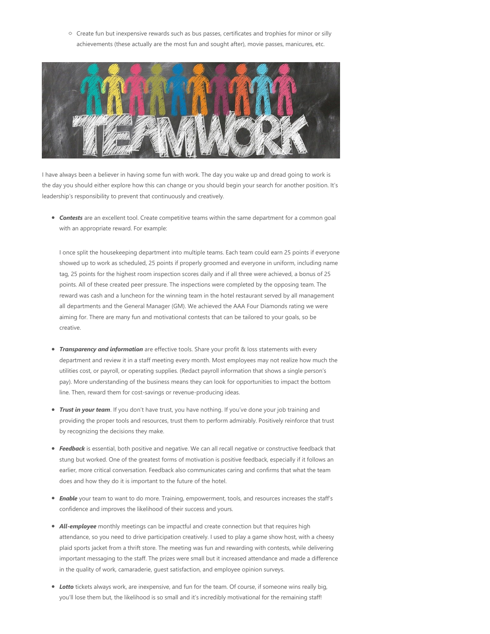$\circ$  Create fun but inexpensive rewards such as bus passes, certificates and trophies for minor or silly achievements (these actually are the most fun and sought after), movie passes, manicures, etc.



I have always been a believer in having some fun with work. The day you wake up and dread going to work is the day you should either explore how this can change or you should begin your search for another position. It's leadership's responsibility to prevent that continuously and creatively.

*Contests* are an excellent tool. Create competitive teams within the same department for a common goal with an appropriate reward. For example:

I once split the housekeeping department into multiple teams. Each team could earn 25 points if everyone showed up to work as scheduled, 25 points if properly groomed and everyone in uniform, including name tag, 25 points for the highest room inspection scores daily and if all three were achieved, a bonus of 25 points. All of these created peer pressure. The inspections were completed by the opposing team. The reward was cash and a luncheon for the winning team in the hotel restaurant served by all management all departments and the General Manager (GM). We achieved the AAA Four Diamonds rating we were aiming for. There are many fun and motivational contests that can be tailored to your goals, so be creative.

- **Transparency and information** are effective tools. Share your profit & loss statements with every department and review it in a staff meeting every month. Most employees may not realize how much the utilities cost, or payroll, or operating supplies. (Redact payroll information that shows a single person's pay). More understanding of the business means they can look for opportunities to impact the bottom line. Then, reward them for cost‐savings or revenue‐producing ideas.
- *Trust in your team*. If you don't have trust, you have nothing. If you've done your job training and providing the proper tools and resources, trust them to perform admirably. Positively reinforce that trust by recognizing the decisions they make.
- *Feedback* is essential, both positive and negative. We can all recall negative or constructive feedback that stung but worked. One of the greatest forms of motivation is positive feedback, especially if it follows an earlier, more critical conversation. Feedback also communicates caring and confirms that what the team does and how they do it is important to the future of the hotel.
- *Enable* your team to want to do more. Training, empowerment, tools, and resources increases the staff's confidence and improves the likelihood of their success and yours.
- **All-employee** monthly meetings can be impactful and create connection but that requires high attendance, so you need to drive participation creatively. I used to play a game show host, with a cheesy plaid sports jacket from a thrift store. The meeting was fun and rewarding with contests, while delivering important messaging to the staff. The prizes were small but it increased attendance and made a difference in the quality of work, camaraderie, guest satisfaction, and employee opinion surveys.
- *Lotto* tickets always work, are inexpensive, and fun for the team. Of course, if someone wins really big, you'll lose them but, the likelihood is so small and it's incredibly motivational for the remaining staff!